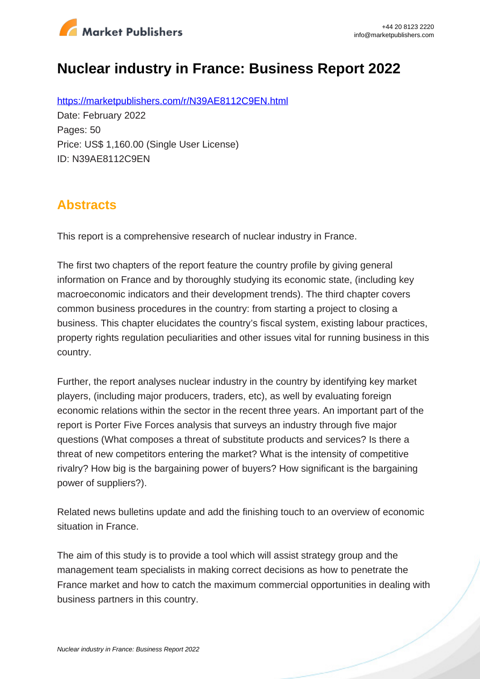

# **Nuclear industry in France: Business Report 2022**

https://marketpublishers.com/r/N39AE8112C9EN.html Date: February 2022 Pages: 50 Price: US\$ 1,160.00 (Single User License) ID: N39AE8112C9EN

## **Abstracts**

This report is a comprehensive research of nuclear industry in France.

The first two chapters of the report feature the country profile by giving general information on France and by thoroughly studying its economic state, (including key macroeconomic indicators and their development trends). The third chapter covers common business procedures in the country: from starting a project to closing a business. This chapter elucidates the country's fiscal system, existing labour practices, property rights regulation peculiarities and other issues vital for running business in this country.

Further, the report analyses nuclear industry in the country by identifying key market players, (including major producers, traders, etc), as well by evaluating foreign economic relations within the sector in the recent three years. An important part of the report is Porter Five Forces analysis that surveys an industry through five major questions (What composes a threat of substitute products and services? Is there a threat of new competitors entering the market? What is the intensity of competitive rivalry? How big is the bargaining power of buyers? How significant is the bargaining power of suppliers?).

Related news bulletins update and add the finishing touch to an overview of economic situation in France.

The aim of this study is to provide a tool which will assist strategy group and the management team specialists in making correct decisions as how to penetrate the France market and how to catch the maximum commercial opportunities in dealing with business partners in this country.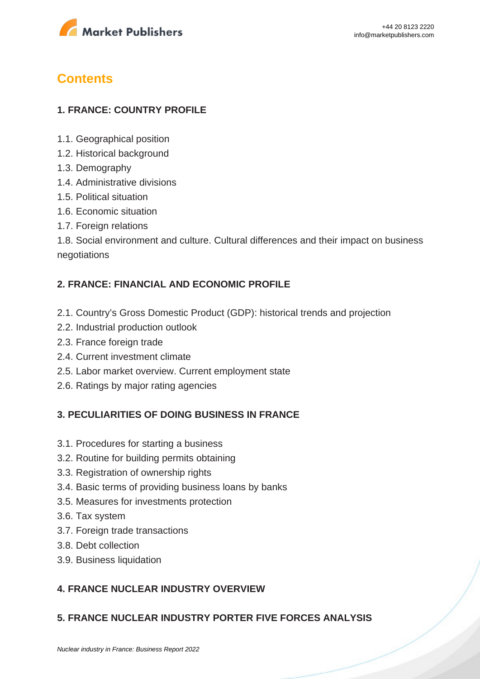

## **Contents**

#### **1. FRANCE: COUNTRY PROFILE**

- 1.1. Geographical position
- 1.2. Historical background
- 1.3. Demography
- 1.4. Administrative divisions
- 1.5. Political situation
- 1.6. Economic situation
- 1.7. Foreign relations

1.8. Social environment and culture. Cultural differences and their impact on business negotiations

#### **2. FRANCE: FINANCIAL AND ECONOMIC PROFILE**

- 2.1. Country's Gross Domestic Product (GDP): historical trends and projection
- 2.2. Industrial production outlook
- 2.3. France foreign trade
- 2.4. Current investment climate
- 2.5. Labor market overview. Current employment state
- 2.6. Ratings by major rating agencies

#### **3. PECULIARITIES OF DOING BUSINESS IN FRANCE**

- 3.1. Procedures for starting a business
- 3.2. Routine for building permits obtaining
- 3.3. Registration of ownership rights
- 3.4. Basic terms of providing business loans by banks
- 3.5. Measures for investments protection
- 3.6. Tax system
- 3.7. Foreign trade transactions
- 3.8. Debt collection
- 3.9. Business liquidation

### **4. FRANCE NUCLEAR INDUSTRY OVERVIEW**

#### **5. FRANCE NUCLEAR INDUSTRY PORTER FIVE FORCES ANALYSIS**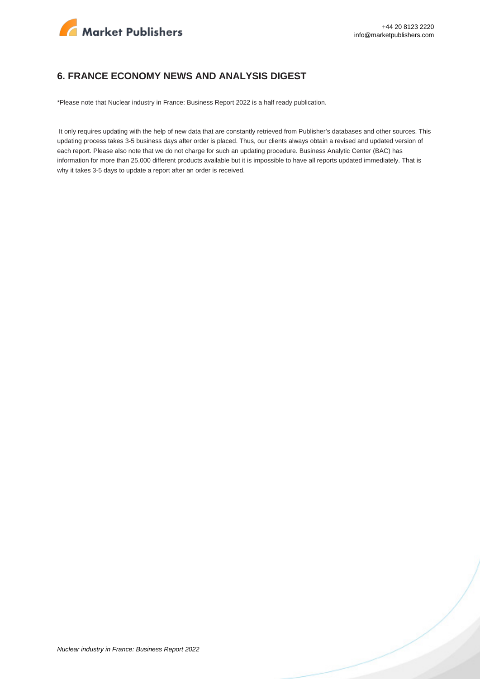

#### **6. FRANCE ECONOMY NEWS AND ANALYSIS DIGEST**

\*Please note that Nuclear industry in France: Business Report 2022 is a half ready publication.

 It only requires updating with the help of new data that are constantly retrieved from Publisher's databases and other sources. This updating process takes 3-5 business days after order is placed. Thus, our clients always obtain a revised and updated version of each report. Please also note that we do not charge for such an updating procedure. Business Analytic Center (BAC) has information for more than 25,000 different products available but it is impossible to have all reports updated immediately. That is why it takes 3-5 days to update a report after an order is received.